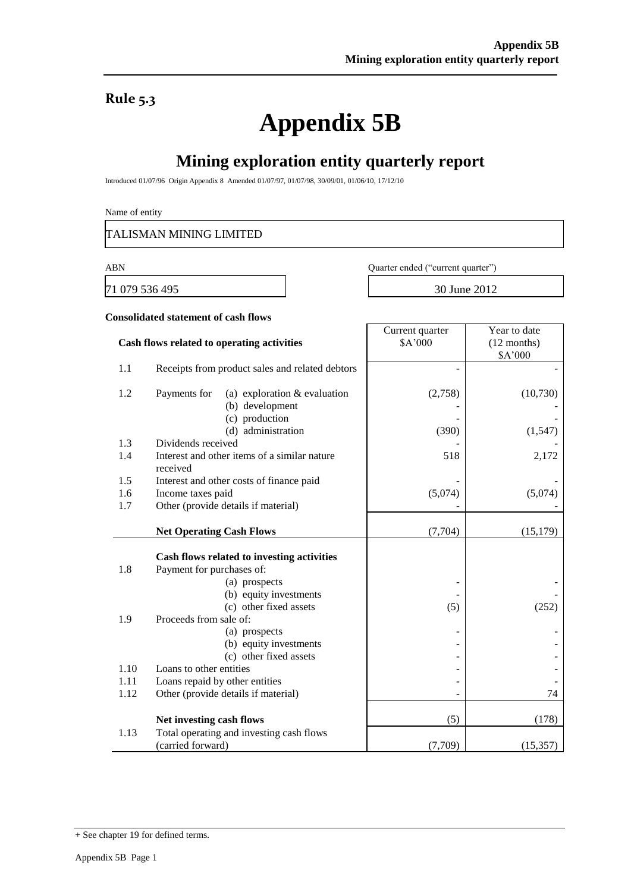### **Rule 5.3**

# **Appendix 5B**

## **Mining exploration entity quarterly report**

Introduced 01/07/96 Origin Appendix 8 Amended 01/07/97, 01/07/98, 30/09/01, 01/06/10, 17/12/10

Name of entity

TALISMAN MINING LIMITED

71 079 536 495 30 June 2012

ABN Quarter ended ("current quarter")

Current quarter

Year to date

#### **Consolidated statement of cash flows**

|            | Cash flows related to operating activities                                                                                                                             | \$A'000 | $(12$ months)<br>\$A'000 |
|------------|------------------------------------------------------------------------------------------------------------------------------------------------------------------------|---------|--------------------------|
| 1.1        | Receipts from product sales and related debtors                                                                                                                        |         |                          |
| 1.2        | Payments for<br>(a) exploration $&$ evaluation<br>(b) development                                                                                                      | (2,758) | (10,730)                 |
|            | (c) production                                                                                                                                                         |         |                          |
|            | (d) administration                                                                                                                                                     | (390)   | (1,547)                  |
| 1.3        | Dividends received                                                                                                                                                     |         |                          |
| 1.4        | Interest and other items of a similar nature<br>received                                                                                                               | 518     | 2,172                    |
| 1.5        | Interest and other costs of finance paid                                                                                                                               |         |                          |
| 1.6        | Income taxes paid                                                                                                                                                      | (5,074) | (5,074)                  |
| 1.7        | Other (provide details if material)                                                                                                                                    |         |                          |
|            | <b>Net Operating Cash Flows</b>                                                                                                                                        | (7,704) | (15, 179)                |
| 1.8<br>1.9 | Cash flows related to investing activities<br>Payment for purchases of:<br>(a) prospects<br>(b) equity investments<br>(c) other fixed assets<br>Proceeds from sale of: | (5)     | (252)                    |
|            | (a) prospects                                                                                                                                                          |         |                          |
|            | (b) equity investments                                                                                                                                                 |         |                          |
|            | (c) other fixed assets                                                                                                                                                 |         |                          |
| 1.10       | Loans to other entities                                                                                                                                                |         |                          |
| 1.11       | Loans repaid by other entities                                                                                                                                         |         |                          |
| 1.12       | Other (provide details if material)                                                                                                                                    |         | 74                       |
|            | Net investing cash flows                                                                                                                                               | (5)     | (178)                    |
| 1.13       | Total operating and investing cash flows                                                                                                                               |         |                          |
|            | (carried forward)                                                                                                                                                      | (7,709) | (15, 357)                |

<sup>+</sup> See chapter 19 for defined terms.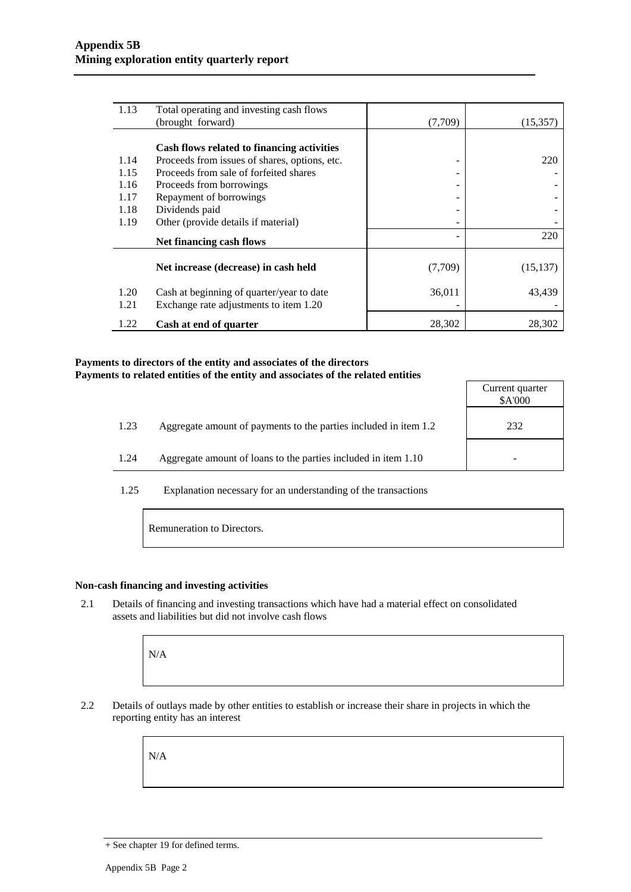| 1.13 | Total operating and investing cash flows      |         |           |
|------|-----------------------------------------------|---------|-----------|
|      | (brought forward)                             | (7,709) | (15, 357) |
|      |                                               |         |           |
|      | Cash flows related to financing activities    |         |           |
| 1.14 | Proceeds from issues of shares, options, etc. |         | 220       |
| 1.15 | Proceeds from sale of forfeited shares        |         |           |
| 1.16 | Proceeds from borrowings                      |         |           |
| 1.17 | Repayment of borrowings                       |         |           |
| 1.18 | Dividends paid                                |         |           |
| 1.19 | Other (provide details if material)           |         |           |
|      | Net financing cash flows                      |         | 220       |
|      | Net increase (decrease) in cash held          | (7,709) | (15, 137) |
| 1.20 | Cash at beginning of quarter/year to date     | 36,011  | 43,439    |
| 1.21 | Exchange rate adjustments to item 1.20        |         |           |
| 1.22 | Cash at end of quarter                        | 28,302  | 28,302    |

#### **Payments to directors of the entity and associates of the directors Payments to related entities of the entity and associates of the related entities**

|      |                                                                  | Current quarter<br>\$A'000 |
|------|------------------------------------------------------------------|----------------------------|
| 1.23 | Aggregate amount of payments to the parties included in item 1.2 | 232                        |
| 1.24 | Aggregate amount of loans to the parties included in item 1.10   |                            |

1.25 Explanation necessary for an understanding of the transactions

Remuneration to Directors.

#### **Non-cash financing and investing activities**

2.1 Details of financing and investing transactions which have had a material effect on consolidated assets and liabilities but did not involve cash flows

N/A

2.2 Details of outlays made by other entities to establish or increase their share in projects in which the reporting entity has an interest

N/A

<sup>+</sup> See chapter 19 for defined terms.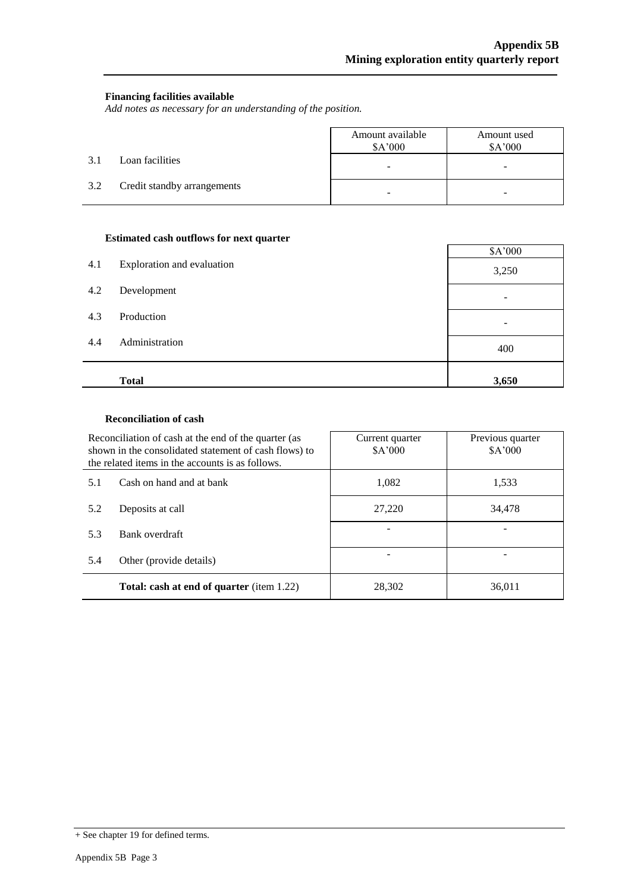#### **Financing facilities available**

*Add notes as necessary for an understanding of the position.*

|     |                             | Amount available<br>\$A'000 | Amount used<br>\$A'000 |
|-----|-----------------------------|-----------------------------|------------------------|
| 3.1 | Loan facilities             | -                           | -                      |
| 3.2 | Credit standby arrangements |                             |                        |

#### **Estimated cash outflows for next quarter**

|     |                            | \$A'000 |
|-----|----------------------------|---------|
| 4.1 | Exploration and evaluation | 3,250   |
| 4.2 | Development                | ۰       |
| 4.3 | Production                 | -       |
| 4.4 | Administration             | 400     |
|     | <b>Total</b>               | 3,650   |

#### **Reconciliation of cash**

|     | Reconciliation of cash at the end of the quarter (as<br>shown in the consolidated statement of cash flows) to<br>the related items in the accounts is as follows. | Current quarter<br>\$A'000 | Previous quarter<br>\$A'000 |
|-----|-------------------------------------------------------------------------------------------------------------------------------------------------------------------|----------------------------|-----------------------------|
| 5.1 | Cash on hand and at bank                                                                                                                                          | 1,082                      | 1,533                       |
| 5.2 | Deposits at call                                                                                                                                                  | 27,220                     | 34,478                      |
| 5.3 | Bank overdraft                                                                                                                                                    |                            |                             |
| 5.4 | Other (provide details)                                                                                                                                           |                            |                             |
|     | <b>Total: cash at end of quarter</b> (item 1.22)                                                                                                                  | 28,302                     | 36,011                      |

<sup>+</sup> See chapter 19 for defined terms.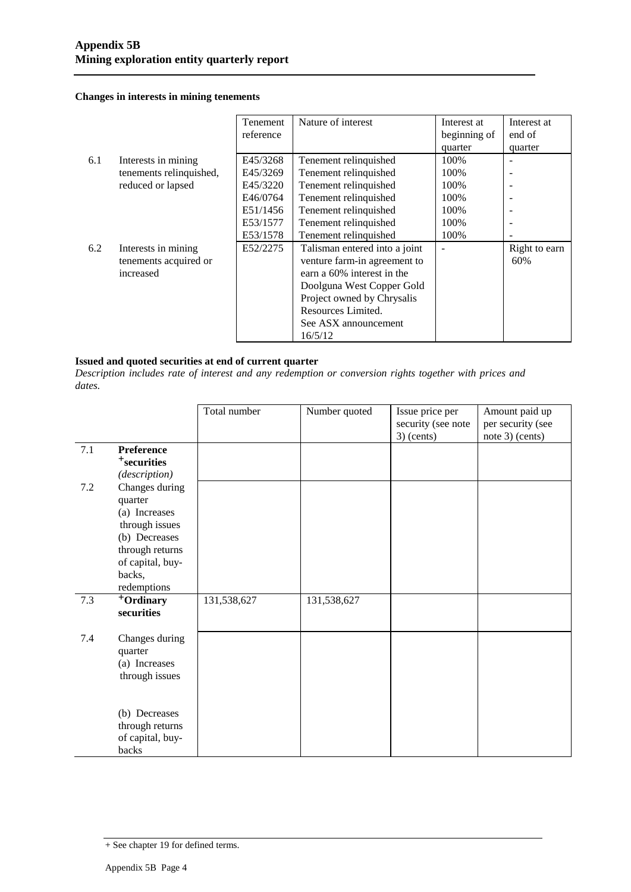#### **Changes in interests in mining tenements**

|     |                         | <b>Tenement</b> | Nature of interest            | Interest at  | Interest at              |
|-----|-------------------------|-----------------|-------------------------------|--------------|--------------------------|
|     |                         | reference       |                               | beginning of | end of                   |
|     |                         |                 |                               | quarter      | quarter                  |
| 6.1 | Interests in mining     | E45/3268        | Tenement relinquished         | 100%         | $\overline{\phantom{a}}$ |
|     | tenements relinquished, | E45/3269        | Tenement relinquished         | 100%         | $\overline{\phantom{a}}$ |
|     | reduced or lapsed       | E45/3220        | Tenement relinquished         | 100%         |                          |
|     |                         | E46/0764        | Tenement relinquished         | 100%         |                          |
|     |                         | E51/1456        | Tenement relinquished         | 100%         |                          |
|     |                         | E53/1577        | Tenement relinquished         | 100%         |                          |
|     |                         | E53/1578        | Tenement relinquished         | 100%         |                          |
| 6.2 | Interests in mining     | E52/2275        | Talisman entered into a joint |              | Right to earn            |
|     | tenements acquired or   |                 | venture farm-in agreement to  |              | 60%                      |
|     | increased               |                 | earn a 60% interest in the    |              |                          |
|     |                         |                 | Doolguna West Copper Gold     |              |                          |
|     |                         |                 | Project owned by Chrysalis    |              |                          |
|     |                         |                 | Resources Limited.            |              |                          |
|     |                         |                 | See ASX announcement          |              |                          |
|     |                         |                 | 16/5/12                       |              |                          |

#### **Issued and quoted securities at end of current quarter**

*Description includes rate of interest and any redemption or conversion rights together with prices and dates.*

|         |                                                                                                                                               | Total number | Number quoted | Issue price per<br>security (see note<br>$3)$ (cents) | Amount paid up<br>per security (see<br>note $3$ ) (cents) |
|---------|-----------------------------------------------------------------------------------------------------------------------------------------------|--------------|---------------|-------------------------------------------------------|-----------------------------------------------------------|
| 7.1     | Preference<br><sup>+</sup> securities<br>(description)                                                                                        |              |               |                                                       |                                                           |
| $7.2\,$ | Changes during<br>quarter<br>(a) Increases<br>through issues<br>(b) Decreases<br>through returns<br>of capital, buy-<br>backs,<br>redemptions |              |               |                                                       |                                                           |
| 7.3     | +Ordinary<br>securities                                                                                                                       | 131,538,627  | 131,538,627   |                                                       |                                                           |
| 7.4     | Changes during<br>quarter<br>(a) Increases<br>through issues                                                                                  |              |               |                                                       |                                                           |
|         | (b) Decreases<br>through returns<br>of capital, buy-<br>backs                                                                                 |              |               |                                                       |                                                           |

<sup>+</sup> See chapter 19 for defined terms.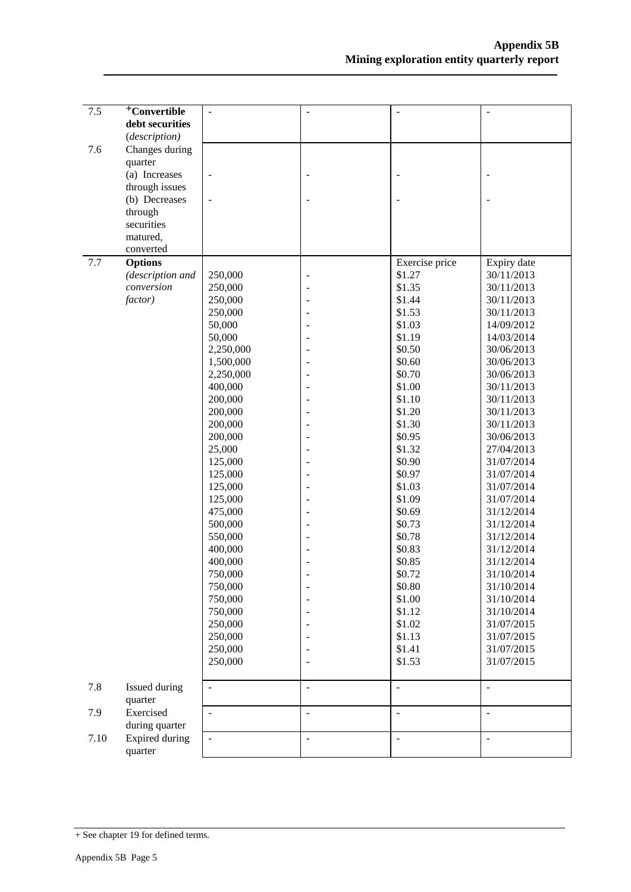| 7.5  | <sup>+</sup> Convertible | $\overline{a}$           | $\overline{\phantom{a}}$ |                          | $\frac{1}{2}$            |
|------|--------------------------|--------------------------|--------------------------|--------------------------|--------------------------|
|      | debt securities          |                          |                          |                          |                          |
|      | (description)            |                          |                          |                          |                          |
|      |                          |                          |                          |                          |                          |
| 7.6  | Changes during           |                          |                          |                          |                          |
|      | quarter                  |                          |                          |                          |                          |
|      | (a) Increases            | $\blacksquare$           |                          |                          |                          |
|      | through issues           |                          |                          |                          |                          |
|      | (b) Decreases            | $\overline{a}$           |                          |                          |                          |
|      | through                  |                          |                          |                          |                          |
|      | securities               |                          |                          |                          |                          |
|      | matured,                 |                          |                          |                          |                          |
|      | converted                |                          |                          |                          |                          |
| 7.7  | <b>Options</b>           |                          |                          | Exercise price           | Expiry date              |
|      | (description and         | 250,000                  | $\overline{\phantom{a}}$ | \$1.27                   | 30/11/2013               |
|      | conversion               | 250,000                  |                          | \$1.35                   | 30/11/2013               |
|      | factor)                  | 250,000                  |                          | \$1.44                   | 30/11/2013               |
|      |                          | 250,000                  |                          | \$1.53                   | 30/11/2013               |
|      |                          | 50,000                   |                          | \$1.03                   | 14/09/2012               |
|      |                          | 50,000                   |                          | \$1.19                   | 14/03/2014               |
|      |                          | 2,250,000                |                          | \$0.50                   | 30/06/2013               |
|      |                          | 1,500,000                |                          | \$0.60                   | 30/06/2013               |
|      |                          | 2,250,000                |                          | \$0.70                   | 30/06/2013               |
|      |                          | 400,000                  |                          | \$1.00                   | 30/11/2013               |
|      |                          | 200,000                  |                          | \$1.10                   | 30/11/2013               |
|      |                          | 200,000                  |                          | \$1.20                   | 30/11/2013               |
|      |                          | 200,000                  |                          | \$1.30                   | 30/11/2013               |
|      |                          | 200,000                  |                          | \$0.95                   | 30/06/2013               |
|      |                          | 25,000                   |                          | \$1.32                   | 27/04/2013               |
|      |                          | 125,000                  |                          | \$0.90                   | 31/07/2014               |
|      |                          | 125,000                  |                          | \$0.97                   | 31/07/2014               |
|      |                          | 125,000                  |                          | \$1.03                   | 31/07/2014               |
|      |                          | 125,000                  |                          | \$1.09                   | 31/07/2014               |
|      |                          | 475,000                  |                          | \$0.69                   | 31/12/2014               |
|      |                          | 500,000                  |                          | \$0.73                   | 31/12/2014               |
|      |                          | 550,000                  |                          | \$0.78                   | 31/12/2014               |
|      |                          | 400,000                  |                          | \$0.83                   | 31/12/2014               |
|      |                          | 400,000                  |                          | \$0.85                   | 31/12/2014               |
|      |                          | 750,000                  |                          | \$0.72                   | 31/10/2014               |
|      |                          | 750,000                  |                          | \$0.80                   | 31/10/2014               |
|      |                          | 750,000                  |                          | \$1.00                   | 31/10/2014               |
|      |                          | 750,000                  |                          | \$1.12                   | 31/10/2014               |
|      |                          | 250,000                  |                          | \$1.02                   | 31/07/2015               |
|      |                          | 250,000                  |                          | \$1.13                   | 31/07/2015               |
|      |                          | 250,000                  |                          | \$1.41                   | 31/07/2015               |
|      |                          | 250,000                  |                          | \$1.53                   | 31/07/2015               |
|      |                          |                          |                          |                          |                          |
| 7.8  | Issued during<br>quarter | $\overline{\phantom{a}}$ | $\overline{\phantom{a}}$ | $\overline{\phantom{a}}$ | $\overline{\phantom{a}}$ |
| 7.9  | Exercised                | $\overline{\phantom{a}}$ | $\overline{\phantom{a}}$ | L.                       | $\sim$                   |
|      | during quarter           |                          |                          |                          |                          |
| 7.10 | Expired during           |                          | $\overline{\phantom{a}}$ | ÷,                       | $\bar{\phantom{a}}$      |
|      | quarter                  |                          |                          |                          |                          |

<sup>+</sup> See chapter 19 for defined terms.